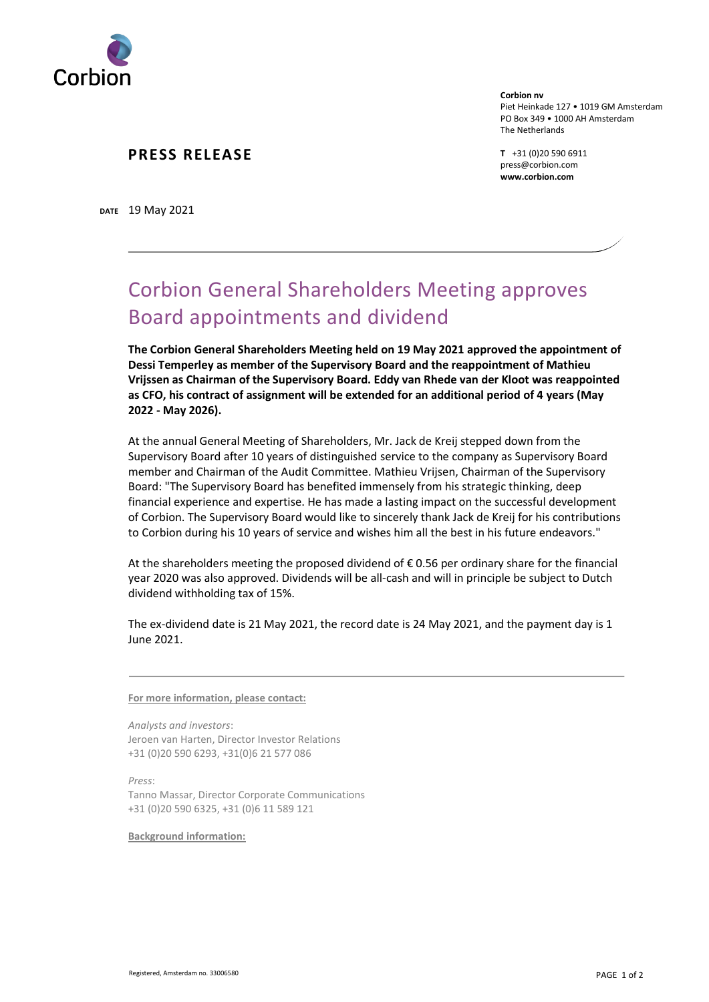

## **PRESS RELEASE**

**DATE** 19 May 2021

**Corbion nv** Piet Heinkade 127 • 1019 GM Amsterdam PO Box 349 • 1000 AH Amsterdam The Netherlands

**T** +31 (0)20 590 6911 press@corbion.com **www.corbion.com**

## Corbion General Shareholders Meeting approves Board appointments and dividend

**The Corbion General Shareholders Meeting held on 19 May 2021 approved the appointment of Dessi Temperley as member of the Supervisory Board and the reappointment of Mathieu Vrijssen as Chairman of the Supervisory Board. Eddy van Rhede van der Kloot was reappointed as CFO, his contract of assignment will be extended for an additional period of 4 years (May 2022 - May 2026).**

At the annual General Meeting of Shareholders, Mr. Jack de Kreij stepped down from the Supervisory Board after 10 years of distinguished service to the company as Supervisory Board member and Chairman of the Audit Committee. Mathieu Vrijsen, Chairman of the Supervisory Board: "The Supervisory Board has benefited immensely from his strategic thinking, deep financial experience and expertise. He has made a lasting impact on the successful development of Corbion. The Supervisory Board would like to sincerely thank Jack de Kreij for his contributions to Corbion during his 10 years of service and wishes him all the best in his future endeavors."

At the shareholders meeting the proposed dividend of  $\epsilon$  0.56 per ordinary share for the financial year 2020 was also approved. Dividends will be all-cash and will in principle be subject to Dutch dividend withholding tax of 15%.

The ex-dividend date is 21 May 2021, the record date is 24 May 2021, and the payment day is 1 June 2021.

**For more information, please contact:**

*Analysts and investors*: Jeroen van Harten, Director Investor Relations +31 (0)20 590 6293, +31(0)6 21 577 086

*Press*: Tanno Massar, Director Corporate Communications +31 (0)20 590 6325, +31 (0)6 11 589 121

**Background information:**